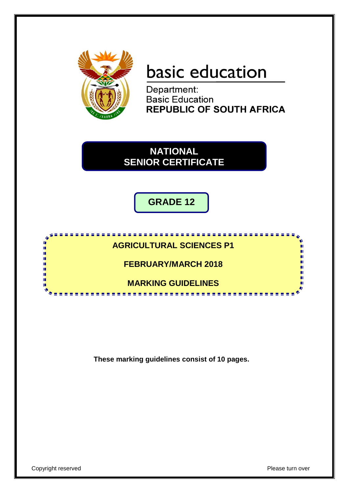

# basic education

Department: **Basic Education REPUBLIC OF SOUTH AFRICA** 

**NATIONAL SENIOR CERTIFICATE**

**GRADE 12**



**These marking guidelines consist of 10 pages.**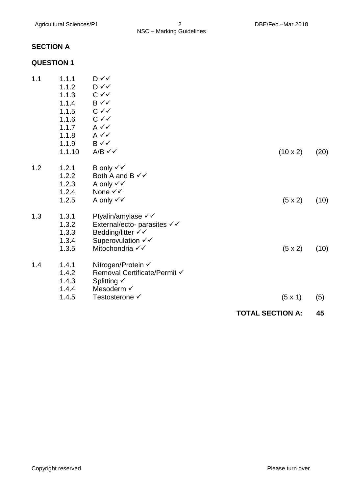#### **SECTION A**

#### **QUESTION 1**

|     |        |                                                 | <b>TOTAL SECTION A:</b> | 45   |
|-----|--------|-------------------------------------------------|-------------------------|------|
|     | 1.4.5  | Testosterone √                                  | $(5 \times 1)$          | (5)  |
|     | 1.4.4  | Mesoderm √                                      |                         |      |
|     | 1.4.3  | Splitting $\checkmark$                          |                         |      |
|     | 1.4.2  | Removal Certificate/Permit √                    |                         |      |
| 1.4 | 1.4.1  | Nitrogen/Protein √                              |                         |      |
|     | 1.3.5  | Mitochondria √√                                 | $(5 \times 2)$          | (10) |
|     | 1.3.4  | Superovulation √√                               |                         |      |
|     | 1.3.3  | Bedding/litter √√                               |                         |      |
|     | 1.3.2  | External/ecto- parasites $\checkmark\checkmark$ |                         |      |
| 1.3 | 1.3.1  | Ptyalin/amylase $\checkmark\checkmark$          |                         |      |
|     | 1.2.5  | A only $\checkmark\checkmark$                   | $(5 \times 2)$          | (10) |
|     | 1.2.4  | None √√                                         |                         |      |
|     | 1.2.3  | A only $\checkmark\checkmark$                   |                         |      |
|     | 1.2.2  | Both A and B $\checkmark\checkmark$             |                         |      |
| 1.2 | 1.2.1  | B only $\checkmark\checkmark$                   |                         |      |
|     | 1.1.10 | $A/B \checkmark$                                | $(10 \times 2)$         | (20) |
|     | 1.1.9  | B√√                                             |                         |      |
|     | 1.1.8  | $A \vee C$                                      |                         |      |
|     | 1.1.7  | $A \vee C$                                      |                         |      |
|     | 1.1.6  | $C \vee C$                                      |                         |      |
|     | 1.1.5  | $C \vee C$                                      |                         |      |
|     | 1.1.4  | $B \checkmark$                                  |                         |      |
|     | 1.1.3  | $C \vee C$                                      |                         |      |
|     | 1.1.2  | D√√                                             |                         |      |
| 1.1 | 1.1.1  | D ✓✓                                            |                         |      |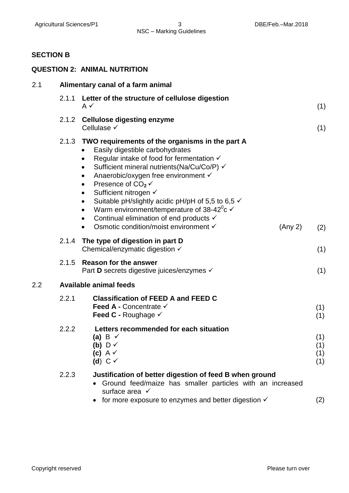### **SECTION B**

|     |                                   | <b>QUESTION 2: ANIMAL NUTRITION</b>                                                                                                                                                                                                                                                                                                                                                                                                                                                                                                                                                                             |                          |  |  |
|-----|-----------------------------------|-----------------------------------------------------------------------------------------------------------------------------------------------------------------------------------------------------------------------------------------------------------------------------------------------------------------------------------------------------------------------------------------------------------------------------------------------------------------------------------------------------------------------------------------------------------------------------------------------------------------|--------------------------|--|--|
| 2.1 | Alimentary canal of a farm animal |                                                                                                                                                                                                                                                                                                                                                                                                                                                                                                                                                                                                                 |                          |  |  |
|     | 2.1.1                             | Letter of the structure of cellulose digestion<br>A $\checkmark$                                                                                                                                                                                                                                                                                                                                                                                                                                                                                                                                                | (1)                      |  |  |
|     | 2.1.2                             | <b>Cellulose digesting enzyme</b><br>Cellulase $\checkmark$                                                                                                                                                                                                                                                                                                                                                                                                                                                                                                                                                     | (1)                      |  |  |
|     |                                   | 2.1.3 TWO requirements of the organisms in the part A<br>Easily digestible carbohydrates<br>Regular intake of food for fermentation √<br>Sufficient mineral nutrients (Na/Cu/Co/P) √<br>$\bullet$<br>Anaerobic/oxygen free environment √<br>$\bullet$<br>Presence of $CO2$ $\checkmark$<br>$\bullet$<br>Sufficient nitrogen √<br>$\bullet$<br>Suitable pH/slightly acidic pH/pH of 5,5 to 6,5 $\checkmark$<br>$\bullet$<br>Warm environment/temperature of $38-42^{\circ}c \checkmark$<br>$\bullet$<br>Continual elimination of end products √<br>$\bullet$<br>Osmotic condition/moist environment √<br>(Any 2) | (2)                      |  |  |
|     |                                   | 2.1.4 The type of digestion in part D<br>Chemical/enzymatic digestion $\checkmark$                                                                                                                                                                                                                                                                                                                                                                                                                                                                                                                              | (1)                      |  |  |
|     | 2.1.5                             | <b>Reason for the answer</b><br>Part <b>D</b> secrets digestive juices/enzymes <del>✓</del>                                                                                                                                                                                                                                                                                                                                                                                                                                                                                                                     | (1)                      |  |  |
| 2.2 |                                   | <b>Available animal feeds</b>                                                                                                                                                                                                                                                                                                                                                                                                                                                                                                                                                                                   |                          |  |  |
|     | 2.2.1                             | <b>Classification of FEED A and FEED C</b><br>Feed A - Concentrate √<br>Feed C - Roughage $\checkmark$                                                                                                                                                                                                                                                                                                                                                                                                                                                                                                          | (1)<br>(1)               |  |  |
|     | 2.2.2                             | Letters recommended for each situation<br>(a) B $\checkmark$<br>(b) $\cup \checkmark$<br>(c) $A \vee$<br>(d) $C \vee$                                                                                                                                                                                                                                                                                                                                                                                                                                                                                           | (1)<br>(1)<br>(1)<br>(1) |  |  |
|     | 2.2.3                             | Justification of better digestion of feed B when ground<br>• Ground feed/maize has smaller particles with an increased<br>surface area $\checkmark$<br>for more exposure to enzymes and better digestion $\checkmark$                                                                                                                                                                                                                                                                                                                                                                                           | (2)                      |  |  |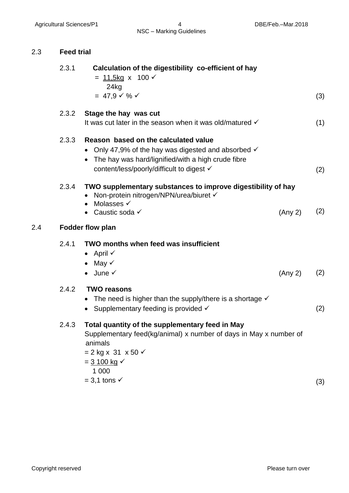#### 2.3 **Feed trial**

|     | 2.3.1 | Calculation of the digestibility co-efficient of hay<br>= $11,5kg \times 100 \checkmark$                                                                                                                   |     |
|-----|-------|------------------------------------------------------------------------------------------------------------------------------------------------------------------------------------------------------------|-----|
|     |       | 24kg<br>$= 47.9 \times \% \checkmark$                                                                                                                                                                      | (3) |
|     | 2.3.2 | Stage the hay was cut<br>It was cut later in the season when it was old/matured √                                                                                                                          | (1) |
|     | 2.3.3 | Reason based on the calculated value<br>• Only 47,9% of the hay was digested and absorbed $\checkmark$<br>The hay was hard/lignified/with a high crude fibre<br>content/less/poorly/difficult to digest √  | (2) |
|     | 2.3.4 | TWO supplementary substances to improve digestibility of hay<br>• Non-protein nitrogen/NPN/urea/biuret V<br>Molasses √<br>• Caustic soda $\checkmark$<br>(Any 2)                                           | (2) |
| 2.4 |       | <b>Fodder flow plan</b>                                                                                                                                                                                    |     |
|     | 2.4.1 | TWO months when feed was insufficient<br>• April $\checkmark$<br>• May $\checkmark$<br>$\bullet$ June $\checkmark$<br>(Any 2)                                                                              | (2) |
|     | 2.4.2 | <b>TWO reasons</b><br>• The need is higher than the supply/there is a shortage $\checkmark$<br>• Supplementary feeding is provided $\checkmark$                                                            | (2) |
|     | 2.4.3 | Total quantity of the supplementary feed in May<br>Supplementary feed(kg/animal) x number of days in May x number of<br>animals<br>$= 2$ kg x 31 x 50 $\checkmark$<br>$=$ 3 100 kg $\checkmark$<br>1 0 0 0 |     |

 $= 3.1 \text{ tons}$  (3)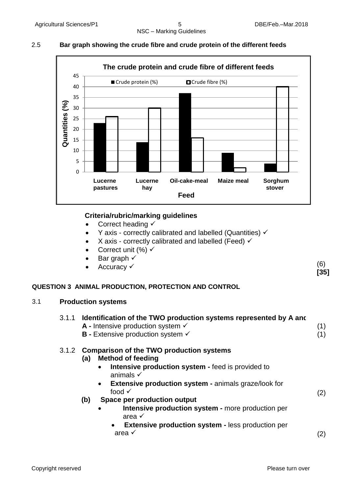#### 2.5 **Bar graph showing the crude fibre and crude protein of the different feeds**



#### **Criteria/rubric/marking guidelines**

- Correct heading  $\checkmark$
- $\bullet$  Y axis correctly calibrated and labelled (Quantities)  $\checkmark$
- X axis correctly calibrated and labelled (Feed)  $\checkmark$
- Correct unit (%)  $\checkmark$
- Bar graph √
- Accuracy √

#### **QUESTION 3 ANIMAL PRODUCTION, PROTECTION AND CONTROL**

#### 3.1 **Production systems**

| <b>A</b> - Intensive production system $\checkmark$<br><b>B</b> - Extensive production system $\checkmark$                                                                                                                                                                                                                                                                                                                                                                           |           |
|--------------------------------------------------------------------------------------------------------------------------------------------------------------------------------------------------------------------------------------------------------------------------------------------------------------------------------------------------------------------------------------------------------------------------------------------------------------------------------------|-----------|
| 3.1.2 Comparison of the TWO production systems<br><b>Method of feeding</b><br>(a)<br><b>Intensive production system - feed is provided to</b><br>animals $\checkmark$<br><b>Extensive production system - animals graze/look for</b><br>$\bullet$<br>food $\checkmark$<br>Space per production output<br>(b)<br>Intensive production system - more production per<br>area $\checkmark$<br><b>Extensive production system - less production per</b><br>$\bullet$<br>area $\checkmark$ | (2)<br>2) |

(6) **[35]**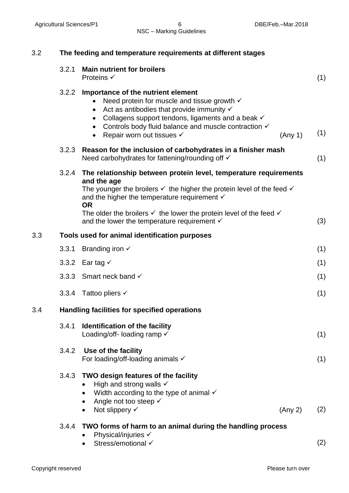| 3.2 | The feeding and temperature requirements at different stages |                                                                                                                                                                                                                                                                                                                                                                                                              |     |  |  |
|-----|--------------------------------------------------------------|--------------------------------------------------------------------------------------------------------------------------------------------------------------------------------------------------------------------------------------------------------------------------------------------------------------------------------------------------------------------------------------------------------------|-----|--|--|
|     | 3.2.1                                                        | <b>Main nutrient for broilers</b><br>Proteins $\checkmark$                                                                                                                                                                                                                                                                                                                                                   | (1) |  |  |
|     | 3.2.2                                                        | Importance of the nutrient element<br>Need protein for muscle and tissue growth $\checkmark$<br>Act as antibodies that provide immunity $\checkmark$<br>$\bullet$<br>Collagens support tendons, ligaments and a beak $\checkmark$<br>Controls body fluid balance and muscle contraction √<br>Repair worn out tissues √<br>(Any 1)                                                                            | (1) |  |  |
|     | 3.2.3                                                        | Reason for the inclusion of carbohydrates in a finisher mash<br>Need carbohydrates for fattening/rounding off √                                                                                                                                                                                                                                                                                              | (1) |  |  |
|     | 3.2.4                                                        | The relationship between protein level, temperature requirements<br>and the age<br>The younger the broilers $\checkmark$ the higher the protein level of the feed $\checkmark$<br>and the higher the temperature requirement $\checkmark$<br><b>OR</b><br>The older the broilers $\checkmark$ the lower the protein level of the feed $\checkmark$<br>and the lower the temperature requirement $\checkmark$ | (3) |  |  |
| 3.3 | Tools used for animal identification purposes                |                                                                                                                                                                                                                                                                                                                                                                                                              |     |  |  |
|     | 3.3.1                                                        | Branding iron $\checkmark$                                                                                                                                                                                                                                                                                                                                                                                   | (1) |  |  |
|     |                                                              | 3.3.2 Ear tag $\checkmark$                                                                                                                                                                                                                                                                                                                                                                                   | (1) |  |  |
|     |                                                              | 3.3.3 Smart neck band √                                                                                                                                                                                                                                                                                                                                                                                      | (1) |  |  |
|     |                                                              | 3.3.4 Tattoo pliers ✓                                                                                                                                                                                                                                                                                                                                                                                        | (1) |  |  |
| 3.4 |                                                              | Handling facilities for specified operations                                                                                                                                                                                                                                                                                                                                                                 |     |  |  |
|     | 3.4.1                                                        | Identification of the facility<br>Loading/off-loading ramp $\checkmark$                                                                                                                                                                                                                                                                                                                                      | (1) |  |  |
|     |                                                              | 3.4.2 Use of the facility<br>For loading/off-loading animals $\checkmark$                                                                                                                                                                                                                                                                                                                                    | (1) |  |  |
|     |                                                              | 3.4.3 TWO design features of the facility<br>High and strong walls $\checkmark$<br>Width according to the type of animal $\checkmark$<br>Angle not too steep √<br>$\bullet$<br>Not slippery $\checkmark$<br>(Any 2)<br>$\bullet$                                                                                                                                                                             | (2) |  |  |
|     | 3.4.4                                                        | TWO forms of harm to an animal during the handling process                                                                                                                                                                                                                                                                                                                                                   |     |  |  |
|     |                                                              | Physical/injuries √<br>Stress/emotional √                                                                                                                                                                                                                                                                                                                                                                    | (2) |  |  |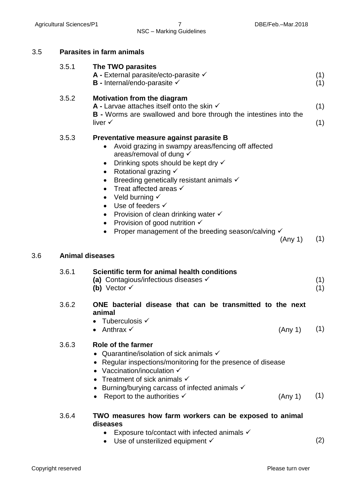| 3.5 |                        | <b>Parasites in farm animals</b>                                                                                                                                                                                                                                                                                                                                                                                                                                                                                                                        |            |
|-----|------------------------|---------------------------------------------------------------------------------------------------------------------------------------------------------------------------------------------------------------------------------------------------------------------------------------------------------------------------------------------------------------------------------------------------------------------------------------------------------------------------------------------------------------------------------------------------------|------------|
|     | 3.5.1                  | The TWO parasites<br>A - External parasite/ecto-parasite $\checkmark$<br><b>B</b> - Internal/endo-parasite $\checkmark$                                                                                                                                                                                                                                                                                                                                                                                                                                 | (1)<br>(1) |
|     | 3.5.2                  | <b>Motivation from the diagram</b><br>A - Larvae attaches itself onto the skin $\checkmark$<br><b>B</b> - Worms are swallowed and bore through the intestines into the                                                                                                                                                                                                                                                                                                                                                                                  | (1)        |
|     |                        | liver $\checkmark$                                                                                                                                                                                                                                                                                                                                                                                                                                                                                                                                      | (1)        |
|     | 3.5.3                  | Preventative measure against parasite B<br>Avoid grazing in swampy areas/fencing off affected<br>$\bullet$<br>areas/removal of dung $\checkmark$<br>Drinking spots should be kept dry √<br>$\bullet$<br>Rotational grazing $\checkmark$<br>Breeding genetically resistant animals √<br>Treat affected areas √<br>$\bullet$<br>Veld burning $\checkmark$<br>Use of feeders √<br>$\bullet$<br>Provision of clean drinking water $\checkmark$<br>Provision of good nutrition $\checkmark$<br>Proper management of the breeding season/calving √<br>(Any 1) | (1)        |
| 3.6 | <b>Animal diseases</b> |                                                                                                                                                                                                                                                                                                                                                                                                                                                                                                                                                         |            |
|     | 3.6.1                  | Scientific term for animal health conditions<br>(a) Contagious/infectious diseases $\checkmark$<br>(b) Vector $\checkmark$                                                                                                                                                                                                                                                                                                                                                                                                                              | (1)<br>(1) |
|     | 3.6.2                  | ONE bacterial disease that can be transmitted to the next<br>animal<br>Tuberculosis √                                                                                                                                                                                                                                                                                                                                                                                                                                                                   |            |
|     | 3.6.3                  | Anthrax $\checkmark$<br>(Any 1)<br>Role of the farmer<br>• Quarantine/isolation of sick animals $\checkmark$<br>• Regular inspections/monitoring for the presence of disease<br>• Vaccination/inoculation $\checkmark$<br>Treatment of sick animals $\checkmark$<br>Burning/burying carcass of infected animals $\checkmark$<br>Report to the authorities $\checkmark$<br>(Any 1)                                                                                                                                                                       | (1)<br>(1) |
|     | 3.6.4                  | TWO measures how farm workers can be exposed to animal<br>diseases<br>Exposure to/contact with infected animals $\checkmark$<br>Use of unsterilized equipment √                                                                                                                                                                                                                                                                                                                                                                                         | (2)        |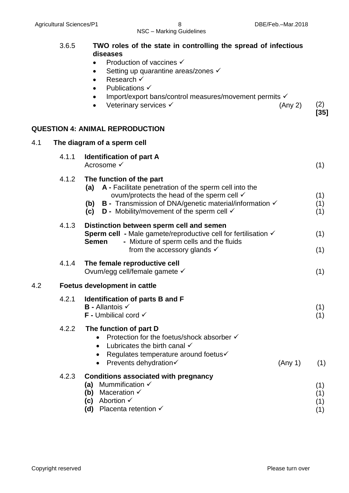|     | 3.6.5 | TWO roles of the state in controlling the spread of infectious<br>diseases<br>Production of vaccines √<br>Setting up quarantine areas/zones √<br>$\bullet$<br>Research √<br>$\bullet$<br>Publications $\checkmark$<br>Import/export bans/control measures/movement permits √<br>$\bullet$<br>Veterinary services √<br>(Any 2) | (2)<br>$[35]$            |
|-----|-------|-------------------------------------------------------------------------------------------------------------------------------------------------------------------------------------------------------------------------------------------------------------------------------------------------------------------------------|--------------------------|
|     |       | <b>QUESTION 4: ANIMAL REPRODUCTION</b>                                                                                                                                                                                                                                                                                        |                          |
| 4.1 |       | The diagram of a sperm cell                                                                                                                                                                                                                                                                                                   |                          |
|     | 4.1.1 | <b>Identification of part A</b><br>Acrosome √                                                                                                                                                                                                                                                                                 | (1)                      |
|     | 4.1.2 | The function of the part<br>A - Facilitate penetration of the sperm cell into the<br>(a)<br>ovum/protects the head of the sperm cell $\checkmark$<br>(b) $B -$ Transmission of DNA/genetic material/information $\checkmark$<br><b>D</b> - Mobility/movement of the sperm cell $\checkmark$<br>(c)                            | (1)<br>(1)<br>(1)        |
|     | 4.1.3 | Distinction between sperm cell and semen<br>Sperm cell - Male gamete/reproductive cell for fertilisation √<br>- Mixture of sperm cells and the fluids<br><b>Semen</b><br>from the accessory glands $\checkmark$                                                                                                               | (1)<br>(1)               |
|     | 4.1.4 | The female reproductive cell<br>Ovum/egg cell/female gamete √                                                                                                                                                                                                                                                                 | (1)                      |
| 4.2 |       | <b>Foetus development in cattle</b>                                                                                                                                                                                                                                                                                           |                          |
|     | 4.2.1 | <b>Identification of parts B and F</b><br><b>B</b> - Allantois √<br><b>F</b> - Umbilical cord $\checkmark$                                                                                                                                                                                                                    | (1)<br>(1)               |
|     | 4.2.2 | The function of part D<br>Protection for the foetus/shock absorber √<br>Lubricates the birth canal $\checkmark$<br>$\bullet$<br>Regulates temperature around foetus√<br>٠<br>Prevents dehydration√<br>(Any 1)<br>$\bullet$                                                                                                    | (1)                      |
|     | 4.2.3 | <b>Conditions associated with pregnancy</b><br>Mummification √<br>(a)<br>Maceration $\checkmark$<br>(b)<br>(c) Abortion $\checkmark$<br>Placenta retention $\checkmark$<br>(d)                                                                                                                                                | (1)<br>(1)<br>(1)<br>(1) |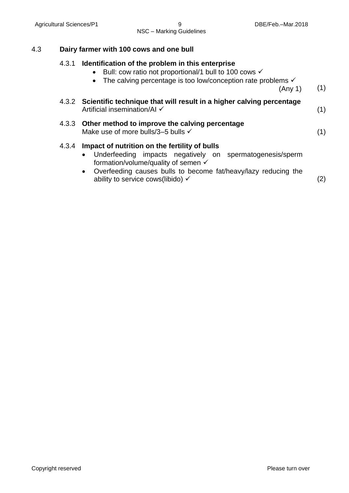## 4.3 **Dairy farmer with 100 cows and one bull**

| 4.3.1 | Identification of the problem in this enterprise<br>• Bull: cow ratio not proportional/1 bull to 100 cows $\checkmark$<br>• The calving percentage is too low/conception rate problems $\checkmark$<br>(Any 1)                                                                               | (1)               |
|-------|----------------------------------------------------------------------------------------------------------------------------------------------------------------------------------------------------------------------------------------------------------------------------------------------|-------------------|
|       | 4.3.2 Scientific technique that will result in a higher calving percentage<br>Artificial insemination/Al √                                                                                                                                                                                   | (1)               |
|       | 4.3.3 Other method to improve the calving percentage<br>Make use of more bulls/3-5 bulls √                                                                                                                                                                                                   | (1)               |
| 4.3.4 | Impact of nutrition on the fertility of bulls<br>Underfeeding impacts negatively on spermatogenesis/sperm<br>$\bullet$<br>formation/volume/quality of semen √<br>Overfeeding causes bulls to become fat/heavy/lazy reducing the<br>$\bullet$<br>ability to service cows(libido) $\checkmark$ | $\left( 2\right)$ |